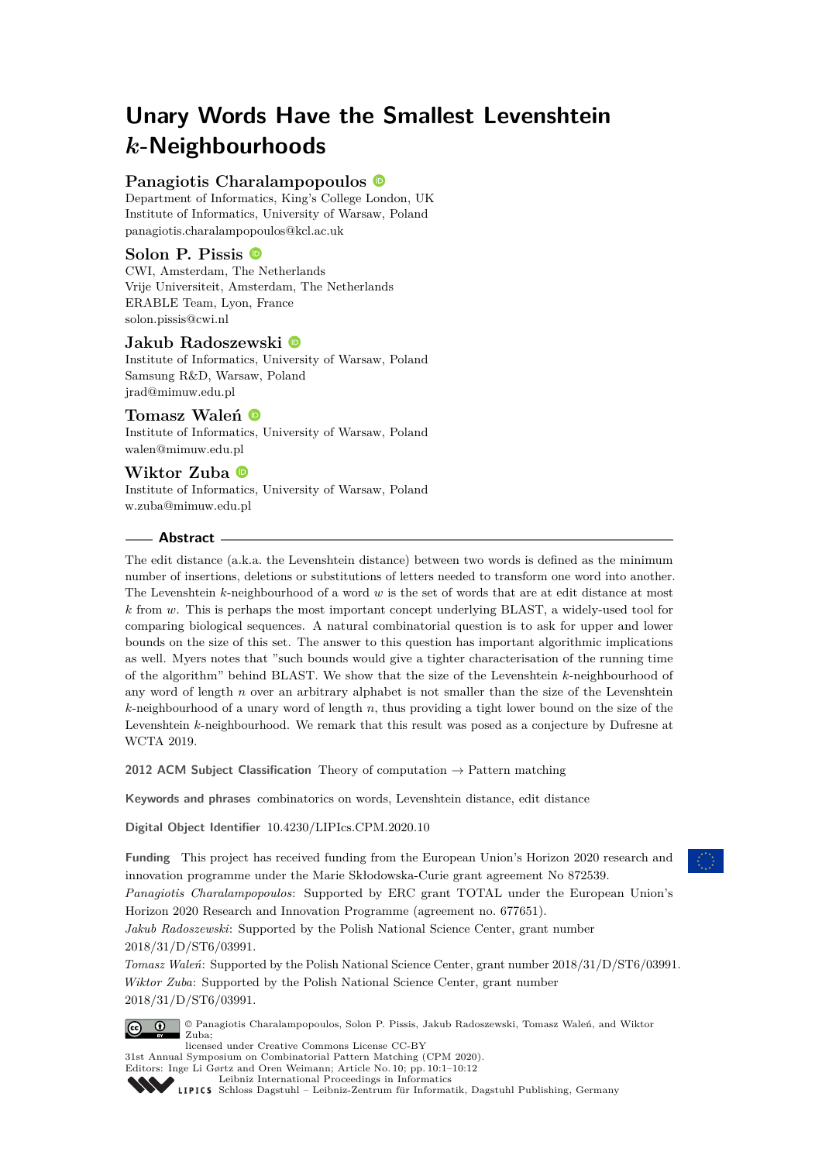# **Unary Words Have the Smallest Levenshtein** *k***-Neighbourhoods**

# **Panagiotis Charalampopoulos**

Department of Informatics, King's College London, UK Institute of Informatics, University of Warsaw, Poland [panagiotis.charalampopoulos@kcl.ac.uk](mailto:panagiotis.charalampopoulos@kcl.ac.uk)

# **Solon P. Pissis**

CWI, Amsterdam, The Netherlands Vrije Universiteit, Amsterdam, The Netherlands ERABLE Team, Lyon, France [solon.pissis@cwi.nl](mailto:solon.pissis@cwi.nl)

## **Jakub Radoszewski**

Institute of Informatics, University of Warsaw, Poland Samsung R&D, Warsaw, Poland [jrad@mimuw.edu.pl](mailto:jrad@mimuw.edu.pl)

# **Tomasz Waleń**

Institute of Informatics, University of Warsaw, Poland [walen@mimuw.edu.pl](mailto:walen@mimuw.edu.pl)

# **Wiktor Zuba**

Institute of Informatics, University of Warsaw, Poland [w.zuba@mimuw.edu.pl](mailto:w.zuba@mimuw.edu.pl)

## **Abstract**

The edit distance (a.k.a. the Levenshtein distance) between two words is defined as the minimum number of insertions, deletions or substitutions of letters needed to transform one word into another. The Levenshtein *k*-neighbourhood of a word *w* is the set of words that are at edit distance at most *k* from *w*. This is perhaps the most important concept underlying BLAST, a widely-used tool for comparing biological sequences. A natural combinatorial question is to ask for upper and lower bounds on the size of this set. The answer to this question has important algorithmic implications as well. Myers notes that "such bounds would give a tighter characterisation of the running time of the algorithm" behind BLAST. We show that the size of the Levenshtein *k*-neighbourhood of any word of length *n* over an arbitrary alphabet is not smaller than the size of the Levenshtein *k*-neighbourhood of a unary word of length *n*, thus providing a tight lower bound on the size of the Levenshtein *k*-neighbourhood. We remark that this result was posed as a conjecture by Dufresne at WCTA 2019.

**2012 ACM Subject Classification** Theory of computation → Pattern matching

**Keywords and phrases** combinatorics on words, Levenshtein distance, edit distance

**Digital Object Identifier** [10.4230/LIPIcs.CPM.2020.10](https://doi.org/10.4230/LIPIcs.CPM.2020.10)

**Funding** This project has received funding from the European Union's Horizon 2020 research and innovation programme under the Marie Skłodowska-Curie grant agreement No 872539.

*Panagiotis Charalampopoulos*: Supported by ERC grant TOTAL under the European Union's Horizon 2020 Research and Innovation Programme (agreement no. 677651).

*Jakub Radoszewski*: Supported by the Polish National Science Center, grant number 2018/31/D/ST6/03991.

*Tomasz Waleń*: Supported by the Polish National Science Center, grant number 2018/31/D/ST6/03991. *Wiktor Zuba*: Supported by the Polish National Science Center, grant number 2018/31/D/ST6/03991.



© Panagiotis Charalampopoulos, Solon P. Pissis, Jakub Radoszewski, Tomasz Waleń, and Wiktor Zuba;

licensed under Creative Commons License CC-BY 31st Annual Symposium on Combinatorial Pattern Matching (CPM 2020). Editors: Inge Li Gørtz and Oren Weimann; Article No. 10; pp. 10:1–10[:12](#page-11-0) [Leibniz International Proceedings in Informatics](https://www.dagstuhl.de/lipics/)

[Schloss Dagstuhl – Leibniz-Zentrum für Informatik, Dagstuhl Publishing, Germany](https://www.dagstuhl.de)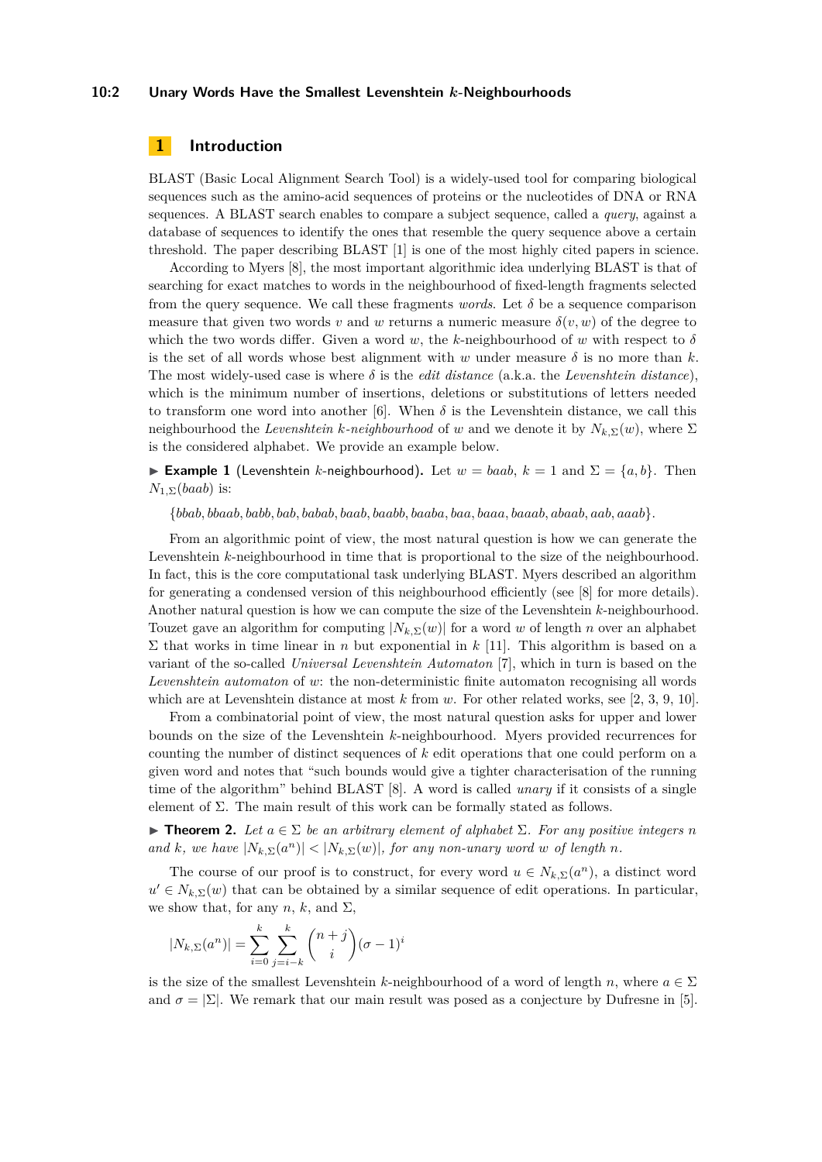#### **10:2 Unary Words Have the Smallest Levenshtein** *k***-Neighbourhoods**

## **1 Introduction**

BLAST (Basic Local Alignment Search Tool) is a widely-used tool for comparing biological sequences such as the amino-acid sequences of proteins or the nucleotides of DNA or RNA sequences. A BLAST search enables to compare a subject sequence, called a *query*, against a database of sequences to identify the ones that resemble the query sequence above a certain threshold. The paper describing BLAST [\[1\]](#page-11-1) is one of the most highly cited papers in science.

According to Myers [\[8\]](#page-11-2), the most important algorithmic idea underlying BLAST is that of searching for exact matches to words in the neighbourhood of fixed-length fragments selected from the query sequence. We call these fragments *words*. Let  $\delta$  be a sequence comparison measure that given two words *v* and *w* returns a numeric measure  $\delta(v, w)$  of the degree to which the two words differ. Given a word *w*, the *k*-neighbourhood of *w* with respect to *δ* is the set of all words whose best alignment with  $w$  under measure  $\delta$  is no more than  $k$ . The most widely-used case is where  $\delta$  is the *edit distance* (a.k.a. the *Levenshtein distance*), which is the minimum number of insertions, deletions or substitutions of letters needed to transform one word into another [\[6\]](#page-11-3). When  $\delta$  is the Levenshtein distance, we call this neighbourhood the *Levenshtein k*-neighbourhood of *w* and we denote it by  $N_{k,\Sigma}(w)$ , where  $\Sigma$ is the considered alphabet. We provide an example below.

**Example 1** (Levenshtein *k*-neighbourhood). Let  $w = baab$ ,  $k = 1$  and  $\Sigma = \{a, b\}$ . Then *N*1*,*Σ(*baab*) is:

{*bbab, bbaab, babb, bab, babab, baab, baabb, baaba, baa, baaa, baaab, abaab, aab, aaab*}*.*

From an algorithmic point of view, the most natural question is how we can generate the Levenshtein *k*-neighbourhood in time that is proportional to the size of the neighbourhood. In fact, this is the core computational task underlying BLAST. Myers described an algorithm for generating a condensed version of this neighbourhood efficiently (see [\[8\]](#page-11-2) for more details). Another natural question is how we can compute the size of the Levenshtein *k*-neighbourhood. Touzet gave an algorithm for computing  $|N_{k,\Sigma}(w)|$  for a word w of length *n* over an alphabet  $\Sigma$  that works in time linear in *n* but exponential in *k* [\[11\]](#page-11-4). This algorithm is based on a variant of the so-called *Universal Levenshtein Automaton* [\[7\]](#page-11-5), which in turn is based on the *Levenshtein automaton* of *w*: the non-deterministic finite automaton recognising all words which are at Levenshtein distance at most *k* from *w*. For other related works, see [\[2,](#page-11-6) [3,](#page-11-7) [9,](#page-11-8) [10\]](#page-11-9).

From a combinatorial point of view, the most natural question asks for upper and lower bounds on the size of the Levenshtein *k*-neighbourhood. Myers provided recurrences for counting the number of distinct sequences of *k* edit operations that one could perform on a given word and notes that "such bounds would give a tighter characterisation of the running time of the algorithm" behind BLAST [\[8\]](#page-11-2). A word is called *unary* if it consists of a single element of Σ. The main result of this work can be formally stated as follows.

<span id="page-1-0"></span> $▶$  **Theorem 2.** *Let*  $a \in \Sigma$  *be an arbitrary element of alphabet*  $\Sigma$ *. For any positive integers n and k,* we have  $|N_{k,\Sigma}(a^n)| < |N_{k,\Sigma}(w)|$ *, for any non-unary word w of length n.* 

The course of our proof is to construct, for every word  $u \in N_{k,\Sigma}(a^n)$ , a distinct word  $u' \in N_{k,\Sigma}(w)$  that can be obtained by a similar sequence of edit operations. In particular, we show that, for any  $n, k$ , and  $\Sigma$ ,

$$
|N_{k,\Sigma}(a^n)| = \sum_{i=0}^{k} \sum_{j=i-k}^{k} {n+j \choose i} (\sigma - 1)^i
$$

is the size of the smallest Levenshtein *k*-neighbourhood of a word of length *n*, where  $a \in \Sigma$ and  $\sigma = |\Sigma|$ . We remark that our main result was posed as a conjecture by Dufresne in [\[5\]](#page-11-10).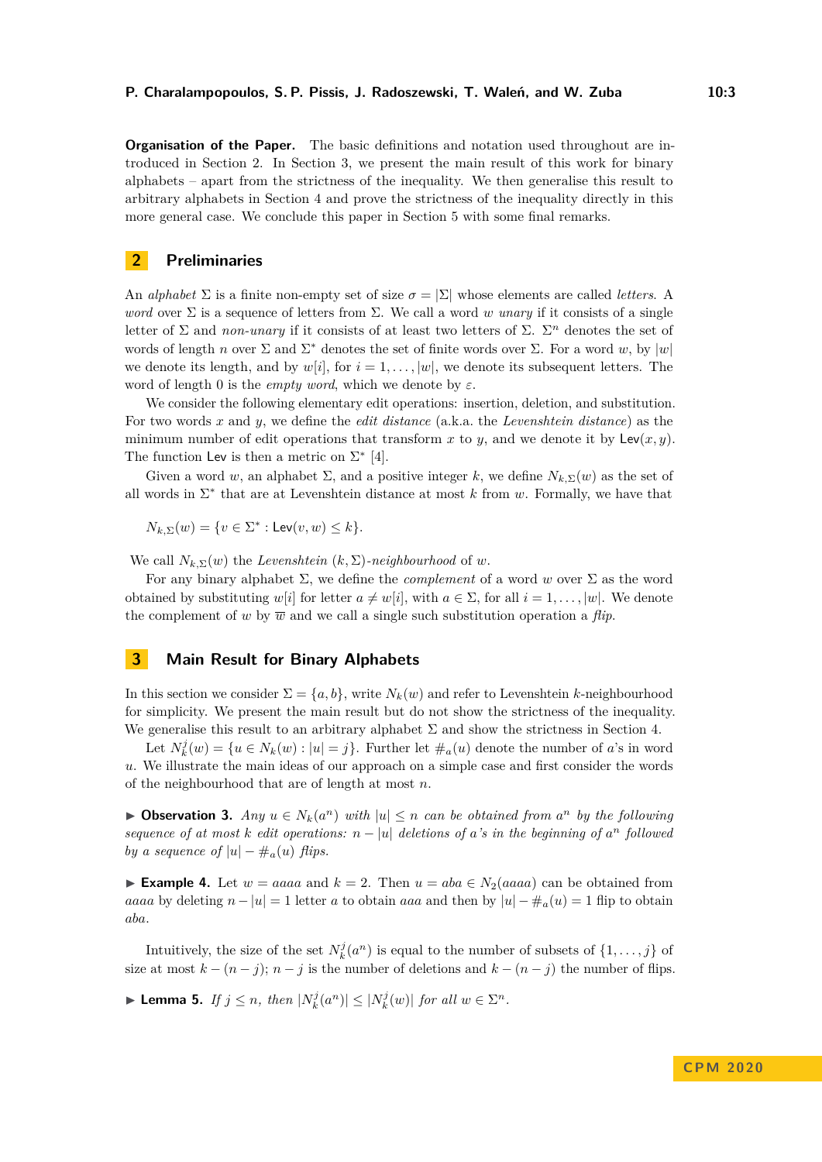**Organisation of the Paper.** The basic definitions and notation used throughout are introduced in Section [2.](#page-2-0) In Section [3,](#page-2-1) we present the main result of this work for binary alphabets – apart from the strictness of the inequality. We then generalise this result to arbitrary alphabets in Section [4](#page-7-0) and prove the strictness of the inequality directly in this more general case. We conclude this paper in Section [5](#page-10-0) with some final remarks.

### <span id="page-2-0"></span>**2 Preliminaries**

An *alphabet*  $\Sigma$  is a finite non-empty set of size  $\sigma = |\Sigma|$  whose elements are called *letters*. A *word* over Σ is a sequence of letters from Σ. We call a word *w unary* if it consists of a single letter of  $\Sigma$  and *non-unary* if it consists of at least two letters of  $\Sigma$ .  $\Sigma^n$  denotes the set of words of length *n* over  $\Sigma$  and  $\Sigma^*$  denotes the set of finite words over  $\Sigma$ . For a word *w*, by  $|w|$ we denote its length, and by  $w[i]$ , for  $i = 1, \ldots, |w|$ , we denote its subsequent letters. The word of length 0 is the *empty word*, which we denote by *ε*.

We consider the following elementary edit operations: insertion, deletion, and substitution. For two words *x* and *y*, we define the *edit distance* (a.k.a. the *Levenshtein distance*) as the minimum number of edit operations that transform x to y, and we denote it by  $\text{Lev}(x, y)$ . The function Lev is then a metric on  $\Sigma^*$  [\[4\]](#page-11-11).

Given a word w, an alphabet  $\Sigma$ , and a positive integer k, we define  $N_{k,\Sigma}(w)$  as the set of all words in  $\Sigma^*$  that are at Levenshtein distance at most  $k$  from  $w$ . Formally, we have that

 $N_{k,\Sigma}(w) = \{v \in \Sigma^* : \text{Lev}(v, w) \leq k\}.$ 

We call  $N_{k,\Sigma}(w)$  the *Levenshtein*  $(k,\Sigma)$ -neighbourhood of *w*.

For any binary alphabet  $\Sigma$ , we define the *complement* of a word w over  $\Sigma$  as the word obtained by substituting  $w[i]$  for letter  $a \neq w[i]$ , with  $a \in \Sigma$ , for all  $i = 1, \ldots, |w|$ . We denote the complement of *w* by  $\overline{w}$  and we call a single such substitution operation a *flip*.

# <span id="page-2-1"></span>**3 Main Result for Binary Alphabets**

In this section we consider  $\Sigma = \{a, b\}$ , write  $N_k(w)$  and refer to Levenshtein *k*-neighbourhood for simplicity. We present the main result but do not show the strictness of the inequality. We generalise this result to an arbitrary alphabet  $\Sigma$  and show the strictness in Section [4.](#page-7-0)

Let  $N_k^j(w) = \{u \in N_k(w) : |u| = j\}$ . Further let  $\#_a(u)$  denote the number of *a*'s in word *u*. We illustrate the main ideas of our approach on a simple case and first consider the words of the neighbourhood that are of length at most *n*.

<span id="page-2-2"></span>▶ **Observation 3.** *Any*  $u \in N_k(a^n)$  *with*  $|u| \leq n$  *can be obtained from*  $a^n$  *by the following sequence of at most k edit operations:*  $n - |u|$  *deletions of a*'s *in the beginning of*  $a^n$  *followed by a sequence of*  $|u| - \#_a(u)$  *flips.* 

► **Example 4.** Let  $w = aaaa$  and  $k = 2$ . Then  $u = aba \in N_2(aaaa)$  can be obtained from *aaaa* by deleting  $n - |u| = 1$  letter *a* to obtain *aaa* and then by  $|u| - \#_a(u) = 1$  flip to obtain *aba*.

Intuitively, the size of the set  $N_k^j(a^n)$  is equal to the number of subsets of  $\{1, \ldots, j\}$  of size at most  $k - (n - j)$ ;  $n - j$  is the number of deletions and  $k - (n - j)$  the number of flips.

<span id="page-2-3"></span>► Lemma 5. *If*  $j \leq n$ *, then*  $|N_k^j(a^n)| \leq |N_k^j(w)|$  *for all*  $w \in \Sigma^n$ *.*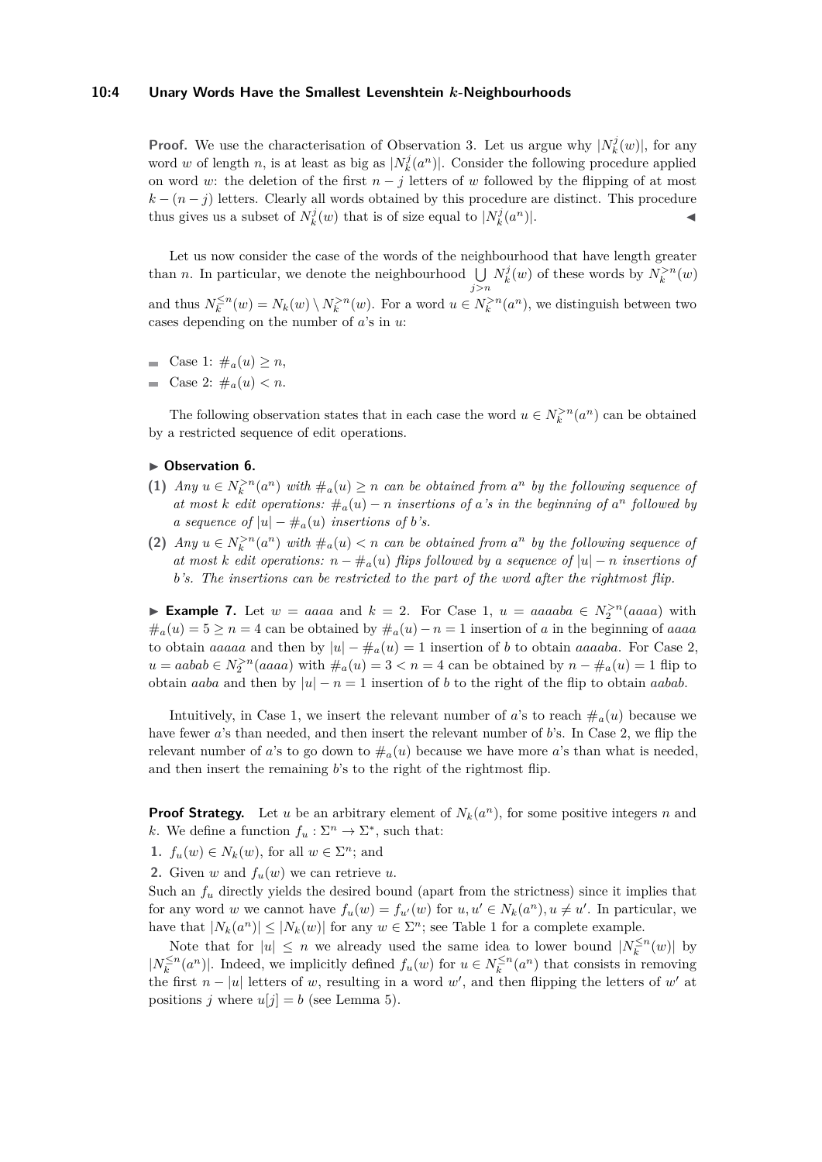#### **10:4 Unary Words Have the Smallest Levenshtein** *k***-Neighbourhoods**

**Proof.** We use the characterisation of Observation [3.](#page-2-2) Let us argue why  $|N_k^j(w)|$ , for any word *w* of length *n*, is at least as big as  $|N_k^j(a^n)|$ . Consider the following procedure applied on word *w*: the deletion of the first  $n - j$  letters of *w* followed by the flipping of at most  $k - (n - j)$  letters. Clearly all words obtained by this procedure are distinct. This procedure thus gives us a subset of  $N_k^j(w)$  that is of size equal to  $|N_k^j(a^n)|$ .

Let us now consider the case of the words of the neighbourhood that have length greater than *n*. In particular, we denote the neighbourhood  $\bigcup N_k^j(w)$  of these words by  $N_k^{>n}(w)$ *j>n* and thus  $N_k^{\leq n}(w) = N_k(w) \setminus N_k^{>n}(w)$ . For a word  $u \in N_k^{>n}(a^n)$ , we distinguish between two cases depending on the number of *a*'s in *u*:

- $\blacksquare$  Case 1:  $\#_a(u) \geq n$ ,
- Gase 2:  $\#_a(u) < n$ .

The following observation states that in each case the word  $u \in N_k^{>n}(a^n)$  can be obtained by a restricted sequence of edit operations.

#### <span id="page-3-0"></span>▶ Observation 6.

- (1) *Any*  $u \in N_k^{>n}(a^n)$  *with*  $\#_a(u) \geq n$  *can be obtained from*  $a^n$  *by the following sequence of at most k edit operations:*  $\#_a(u) - n$  *insertions of a*'s *in the beginning of*  $a^n$  *followed by a sequence of*  $|u| - \#_a(u)$  *insertions of b*'s.
- (2) *Any*  $u \in N_k^{>n}(a^n)$  *with*  $\#_a(u) < n$  *can be obtained from*  $a^n$  *by the following sequence of at most k edit operations:*  $n - \#_a(u)$  *flips followed by a sequence of*  $|u| - n$  *insertions of b's. The insertions can be restricted to the part of the word after the rightmost flip.*

► **Example 7.** Let  $w = aaaa$  and  $k = 2$ . For Case 1,  $u = aaaa$   $\in N_2^{>n}(aaaa)$  with  $\#_a(u) = 5 \geq n = 4$  can be obtained by  $\#_a(u) - n = 1$  insertion of *a* in the beginning of *aaaa* to obtain *aaaaa* and then by  $|u| - \#_a(u) = 1$  insertion of *b* to obtain *aaaaba*. For Case 2,  $u = aabab \in N_2^{>n}(aaaa)$  with  $\#_a(u) = 3 < n = 4$  can be obtained by  $n - \#_a(u) = 1$  flip to obtain *aaba* and then by  $|u| - n = 1$  insertion of *b* to the right of the flip to obtain *aabab*.

Intuitively, in Case 1, we insert the relevant number of *a*'s to reach  $\#_a(u)$  because we have fewer *a*'s than needed, and then insert the relevant number of *b*'s. In Case 2, we flip the relevant number of *a*'s to go down to  $\#_a(u)$  because we have more *a*'s than what is needed, and then insert the remaining *b*'s to the right of the rightmost flip.

**Proof Strategy.** Let *u* be an arbitrary element of  $N_k(a^n)$ , for some positive integers *n* and *k*. We define a function  $f_u : \Sigma^n \to \Sigma^*$ , such that:

- **1.**  $f_u(w) \in N_k(w)$ , for all  $w \in \Sigma^n$ ; and
- **2.** Given *w* and  $f_u(w)$  we can retrieve *u*.

Such an  $f_u$  directly yields the desired bound (apart from the strictness) since it implies that for any word *w* we cannot have  $f_u(w) = f_{u'}(w)$  for  $u, u' \in N_k(a^n), u \neq u'$ . In particular, we have that  $|N_k(a^n)| \leq |N_k(w)|$  for any  $w \in \Sigma^n$ ; see Table [1](#page-4-0) for a complete example.

Note that for  $|u| \leq n$  we already used the same idea to lower bound  $|N_k^{\leq n}(w)|$  by  $|N_k^{\leq n}(a^n)|$ . Indeed, we implicitly defined  $f_u(w)$  for  $u \in N_k^{\leq n}(a^n)$  that consists in removing the first  $n - |u|$  letters of *w*, resulting in a word *w'*, and then flipping the letters of *w'* at positions *j* where  $u[j] = b$  (see Lemma [5\)](#page-2-3).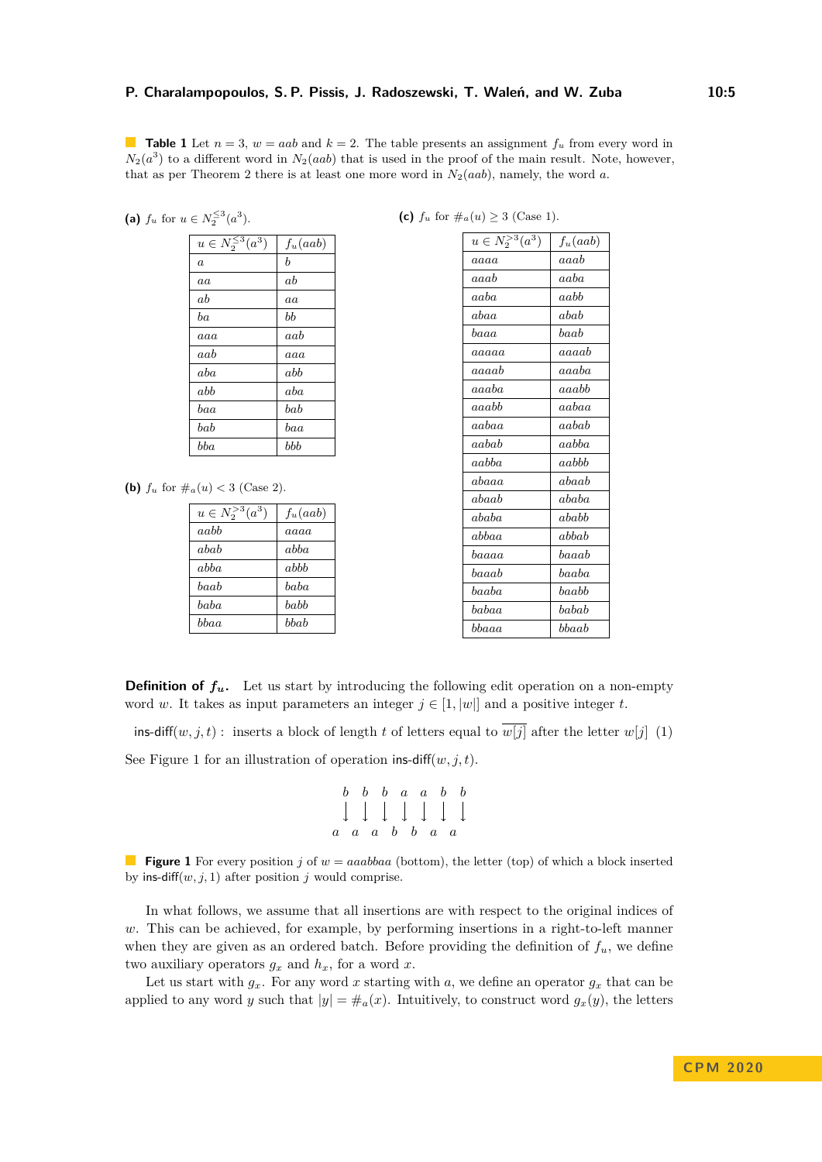<span id="page-4-0"></span>**Table 1** Let  $n = 3$ ,  $w = aab$  and  $k = 2$ . The table presents an assignment  $f_u$  from every word in  $N_2(a^3)$  to a different word in  $N_2(aab)$  that is used in the proof of the main result. Note, however, that as per Theorem [2](#page-1-0) there is at least one more word in  $N_2(aab)$ , namely, the word *a*.

(a) 
$$
f_u
$$
 for  $u \in N_2^{\leq 3}(a^3)$ .

| $u \in N_2^{\overline{\leq}3}(a^3)$ | $f_u(aab)$ |
|-------------------------------------|------------|
| $\boldsymbol{a}$                    | b          |
| aa                                  | ab         |
| аh                                  | a          |
| ba                                  | bb         |
| aaa                                 | aab        |
| aab                                 | aaa        |
| aba                                 | abb        |
| abb                                 | aba        |
| baa                                 | bab        |
| bab                                 | baa        |
| bba                                 | bbb        |

**(b)**  $f_u$  for  $\#_a(u) < 3$  (Case 2).

| $u \in N_2^{>3}(a^3)$ | $f_u(aab)$ |
|-----------------------|------------|
| aabb                  | aaaa       |
| abab                  | abba       |
| abba                  | abbb       |
| haab                  | haha       |
| baba                  | babb       |
| hhaa                  | bbab       |

|  |  | (c) $f_u$ for $\#_a(u) \geq 3$ (Case 1). |  |  |
|--|--|------------------------------------------|--|--|
|  |  |                                          |  |  |

| $u \in N_2^{>3}(a^3)$ | $f_u(aab)$ |
|-----------------------|------------|
| aaaa                  | aaab       |
| aaab                  | aaba       |
| aaba                  | aabb       |
| abaa                  | abab       |
| baaa                  | $_{baab}$  |
| aaaaa                 | aaaab      |
| $_{aaaab}$            | aaaba      |
| aaaba                 | aaabh      |
| aaabb                 | aabaa      |
| aabaa                 | aabab      |
| aabab                 | aabba      |
| aabba                 | aabbb      |
| abaaa                 | abaab      |
| abaab                 | ababa      |
| ababa                 | ababb      |
| abbaa                 | abbab      |
| baaaa                 | baaab      |
| baaab                 | baaba      |
| baaba                 | baabb      |
| babaa                 | babab      |
| bbaaa                 | bbaab      |

**Definition of**  $f_u$ **.** Let us start by introducing the following edit operation on a non-empty word *w*. It takes as input parameters an integer  $j \in [1, |w|]$  and a positive integer *t*.

ins-diff $(w, j, t)$ : inserts a block of length *t* of letters equal to  $\overline{w[j]}$  after the letter  $w[j]$  (1)

<span id="page-4-1"></span>See Figure [1](#page-4-1) for an illustration of operation ins-diff $(w, j, t)$ .

$$
\begin{array}{c|cccc}\nb & b & b & a & a & b & b \\
\downarrow & \downarrow & \downarrow & \downarrow & \downarrow & \downarrow \\
a & a & a & b & b & a & a\n\end{array}
$$

**Figure 1** For every position *j* of  $w = aaabbaa$  (bottom), the letter (top) of which a block inserted by ins-diff $(w, j, 1)$  after position *j* would comprise.

In what follows, we assume that all insertions are with respect to the original indices of *w*. This can be achieved, for example, by performing insertions in a right-to-left manner when they are given as an ordered batch. Before providing the definition of  $f_u$ , we define two auxiliary operators  $g_x$  and  $h_x$ , for a word  $x$ .

Let us start with  $g_x$ . For any word x starting with a, we define an operator  $g_x$  that can be applied to any word *y* such that  $|y| = \#_a(x)$ . Intuitively, to construct word  $g_x(y)$ , the letters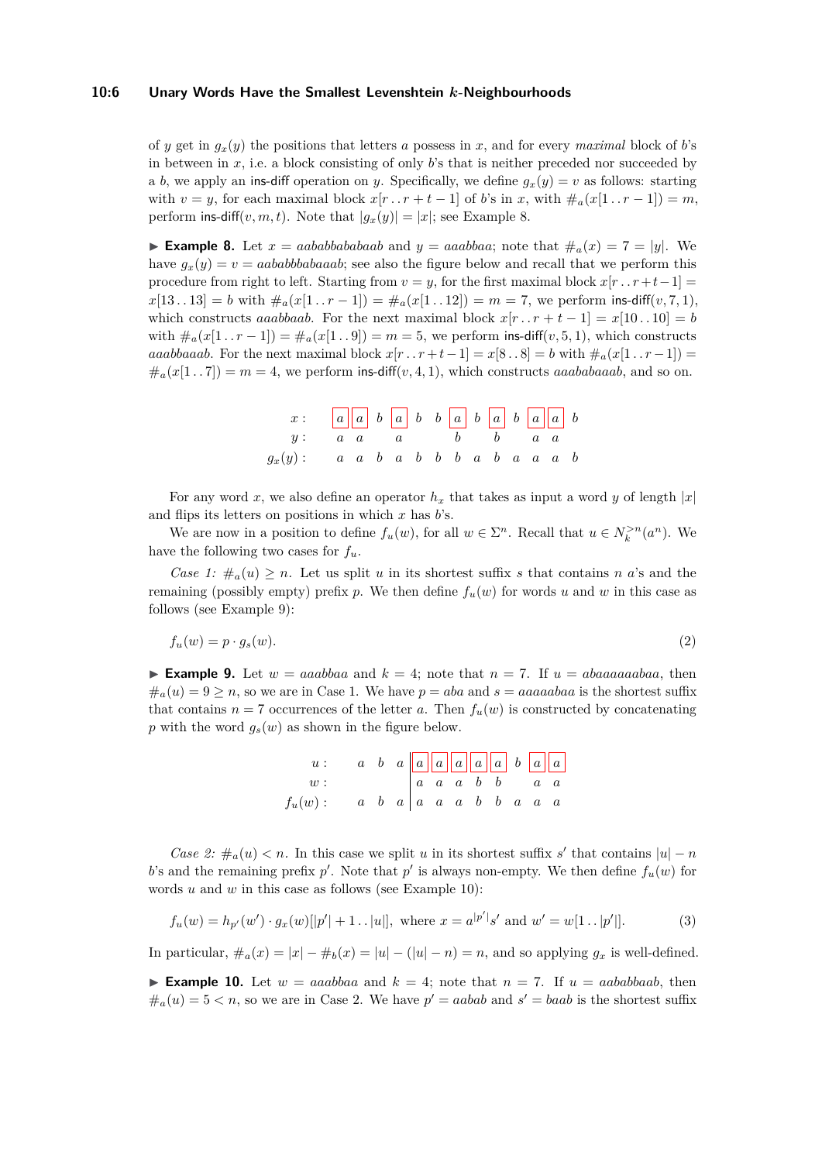#### **10:6 Unary Words Have the Smallest Levenshtein** *k***-Neighbourhoods**

of *y* get in  $g_x(y)$  the positions that letters *a* possess in *x*, and for every *maximal* block of *b*'s in between in *x*, i.e. a block consisting of only *b*'s that is neither preceded nor succeeded by a *b*, we apply an ins-diff operation on *y*. Specifically, we define  $q_x(y) = v$  as follows: starting with  $v = y$ , for each maximal block  $x[r \tcdot r + t - 1]$  of *b*'s in *x*, with  $\#_a(x[1 \tcdot r - 1]) = m$ , perform ins-diff $(v, m, t)$ . Note that  $|g_x(y)| = |x|$ ; see Example [8.](#page-5-0)

<span id="page-5-0"></span>**Example 8.** Let  $x = aababbaab$  and  $y = aaabba$ ; note that  $\#_a(x) = 7 = |y|$ . We have  $g_x(y) = v = aababbbabaab$ ; see also the figure below and recall that we perform this procedure from right to left. Starting from  $v = y$ , for the first maximal block  $x[r \cdot r+t-1] =$  $x[13..13] = b$  with  $\#_a(x[1..r-1]) = \#_a(x[1..12]) = m = 7$ , we perform ins-diff $(v, 7, 1)$ , which constructs *aaabbaab*. For the next maximal block  $x[r \tcdot r + t - 1] = x[10 \tcdot 10] = b$ with  $\#_a(x[1 \tcdot r-1]) = \#_a(x[1 \tcdot .9]) = m = 5$ , we perform ins-diff(*v*, 5, 1), which constructs *aaabbaaab*. For the next maximal block  $x[r \tcdot r + t - 1] = x[8 \tcdot 8] = b$  with  $\#_a(x[1 \tcdot r - 1]) =$  $\#_a(x[1\,1\,1\,1]) = m = 4$ , we perform ins-diff(*v*, 4, 1), which constructs *aaababaaab*, and so on.

| x: a a a b a b b a b a b a b a b    |  |  |  |  |  |  |  |
|-------------------------------------|--|--|--|--|--|--|--|
| $y: a \ a \ a \ b \ b \ a \ a$      |  |  |  |  |  |  |  |
| $g_x(y):$ a a b a b b b a b a a b b |  |  |  |  |  |  |  |

For any word *x*, we also define an operator  $h_x$  that takes as input a word *y* of length  $|x|$ and flips its letters on positions in which *x* has *b*'s.

We are now in a position to define  $f_u(w)$ , for all  $w \in \Sigma^n$ . Recall that  $u \in N_k^{>n}(a^n)$ . We have the following two cases for  $f_u$ .

*Case 1:*  $\#_a(u) \geq n$ . Let us split *u* in its shortest suffix *s* that contains *n a*'s and the remaining (possibly empty) prefix *p*. We then define  $f_u(w)$  for words *u* and *w* in this case as follows (see Example [9\)](#page-5-1):

$$
f_u(w) = p \cdot g_s(w). \tag{2}
$$

<span id="page-5-1"></span>**Example 9.** Let  $w = aaabbaa$  and  $k = 4$ ; note that  $n = 7$ . If  $u = abaaaaabaa$ , then  $\#_a(u) = 9 \ge n$ , so we are in Case 1. We have  $p = aba$  and  $s = aaaaaba$  is the shortest suffix that contains  $n = 7$  occurrences of the letter *a*. Then  $f_u(w)$  is constructed by concatenating *p* with the word  $g_s(w)$  as shown in the figure below.

|           |                                                                                    |  |  |  |  | $\begin{array}{ccc c} a & b & a & a & a & a & a \\ \hline a & a & a & b & b & a & a \\ \hline \end{array}$ |
|-----------|------------------------------------------------------------------------------------|--|--|--|--|------------------------------------------------------------------------------------------------------------|
| w:        |                                                                                    |  |  |  |  |                                                                                                            |
| $f_u(w):$ | $a \quad b \quad a \mid a \quad a \quad a \quad b \quad b \quad a \quad a \quad a$ |  |  |  |  |                                                                                                            |

*Case 2:*  $\#_a(u) < n$ . In this case we split *u* in its shortest suffix *s'* that contains  $|u| - n$ b's and the remaining prefix  $p'$ . Note that  $p'$  is always non-empty. We then define  $f_u(w)$  for words *u* and *w* in this case as follows (see Example [10\)](#page-5-2):

$$
f_u(w) = h_{p'}(w') \cdot g_x(w)[|p'| + 1 \dots |u|], \text{ where } x = a^{|p'|} s' \text{ and } w' = w[1 \dots |p'|].
$$
 (3)

<span id="page-5-2"></span>In particular,  $\#_a(x) = |x| - \#_b(x) = |u| - (|u| - n) = n$ , and so applying  $g_x$  is well-defined.

**Example 10.** Let  $w = aaabbaa$  and  $k = 4$ ; note that  $n = 7$ . If  $u = aababbaab$ , then  $\#_a(u) = 5 < n$ , so we are in Case 2. We have  $p' = aabab$  and  $s' = baab$  is the shortest suffix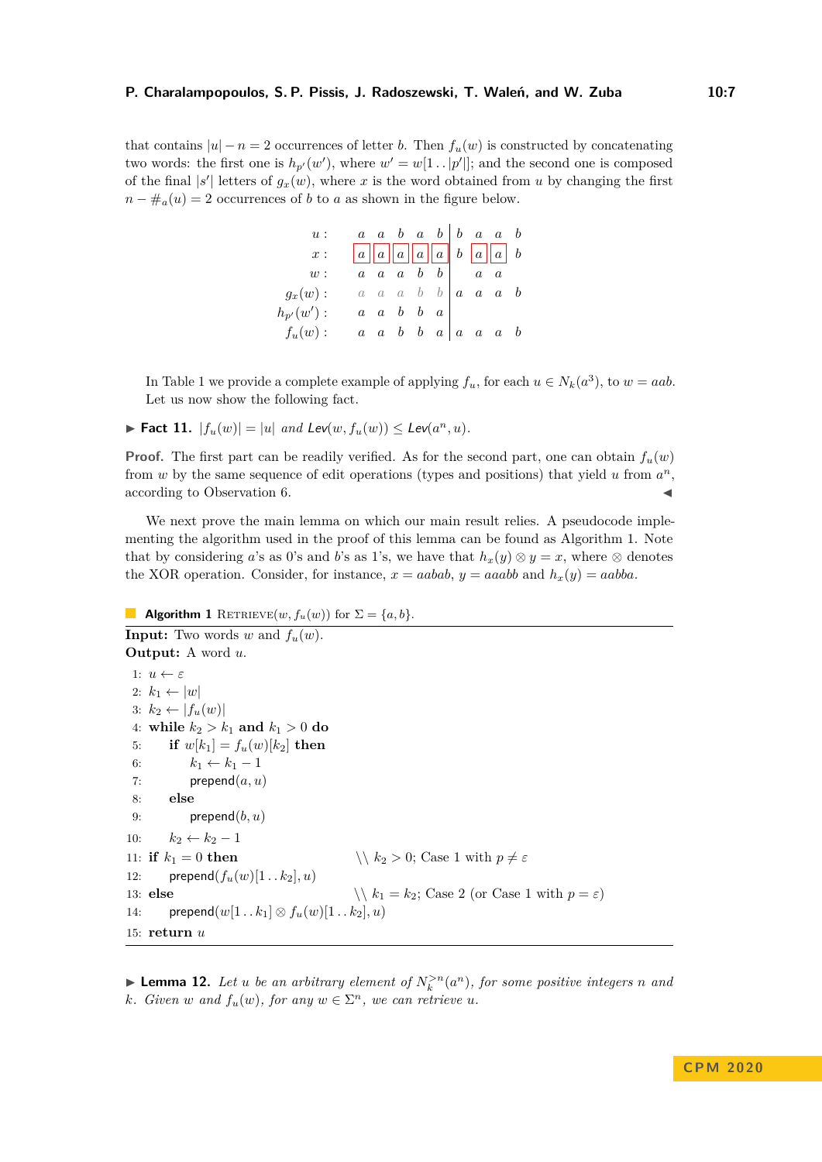that contains  $|u| - n = 2$  occurrences of letter *b*. Then  $f_u(w)$  is constructed by concatenating two words: the first one is  $h_{p}(w')$ , where  $w' = w[1 \tcdot |p'|]$ ; and the second one is composed of the final  $|s'|$  letters of  $g_x(w)$ , where *x* is the word obtained from *u* by changing the first  $n - #_a(u) = 2$  occurrences of *b* to *a* as shown in the figure below.

| u:             |                                                                                            |  |                                     |            | $\begin{array}{cccc c} a & a & b & a & b & b & a & a & b \end{array}$ |  |
|----------------|--------------------------------------------------------------------------------------------|--|-------------------------------------|------------|-----------------------------------------------------------------------|--|
| $x$ :          | $\begin{array}{ c c c c c c c c c } \hline a & a & a & b & a & a & b \\\hline \end{array}$ |  |                                     |            |                                                                       |  |
| w:             |                                                                                            |  | $a \quad a \quad a \quad b \quad b$ | $a\quad a$ |                                                                       |  |
| $g_x(w):$      |                                                                                            |  |                                     |            | $a \quad a \quad a \quad b \quad b \quad a \quad a \quad a \quad b$   |  |
| $h_{p'}(w')$ : |                                                                                            |  | $a \quad a \quad b \quad b \quad a$ |            |                                                                       |  |
| $f_u(w):$      |                                                                                            |  |                                     |            | $a \quad a \quad b \quad b \quad a \quad a \quad a \quad a \quad b$   |  |

In Table [1](#page-4-0) we provide a complete example of applying  $f_u$ , for each  $u \in N_k(a^3)$ , to  $w = aab$ . Let us now show the following fact.

<span id="page-6-2"></span>▶ Fact 11.  $|f_u(w)| = |u|$  *and Lev*(*w*,  $f_u(w)$ ) ≤ Lev( $a^n, u$ ).

**Proof.** The first part can be readily verified. As for the second part, one can obtain  $f_u(w)$ from  $w$  by the same sequence of edit operations (types and positions) that yield  $u$  from  $a^n$ , according to Observation [6.](#page-3-0)

We next prove the main lemma on which our main result relies. A pseudocode implementing the algorithm used in the proof of this lemma can be found as Algorithm [1.](#page-6-0) Note that by considering *a*'s as 0's and *b*'s as 1's, we have that  $h_x(y) \otimes y = x$ , where  $\otimes$  denotes the XOR operation. Consider, for instance,  $x = aabab$ ,  $y = aaabb$  and  $h_x(y) = aabba$ .

```
Algorithm 1 RETRIEVE(w, f_u(w)) for \Sigma = \{a, b\}.Input: Two words w and f_u(w).
Output: A word u.
 1: u \leftarrow \varepsilon2: k_1 \leftarrow |w|3: k_2 \leftarrow |f_u(w)|4: while k_2 > k_1 and k_1 > 0 do
 5: if w[k_1] = f_u(w)[k_2] then
 6: k_1 \leftarrow k_1 - 17: prepend(a, u)8: else
 9: prepend(b, u)10: k_2 \leftarrow k_2 - 111: if k_1 = 0 then \setminus \setminus k_2 > 0; Case 1 with p \neq \varepsilon12: prepend(f_u(w)[1 \tldots k_2], u)13: else \langle \cdot \rangle k_1 = k_2; Case 2 (or Case 1 with p = \varepsilon)
14: prepend(w[1..k_1] \otimes f_u(w)[1..k_2], u)15: return u
```
<span id="page-6-1"></span>**Example 12.** Let *u* be an arbitrary element of  $N_k^{>n}(a^n)$ , for some positive integers *n* and *k. Given w and*  $f_u(w)$ *, for any*  $w \in \Sigma^n$ *, we can retrieve u.*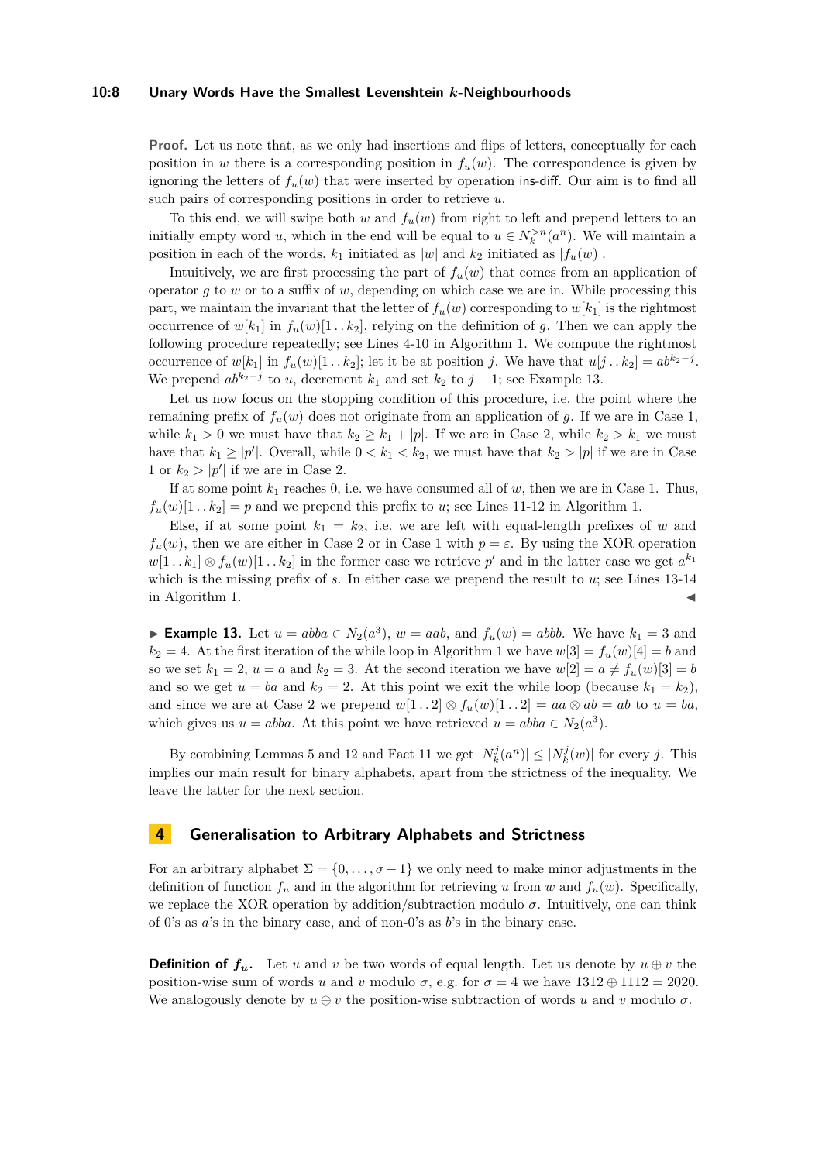#### **10:8 Unary Words Have the Smallest Levenshtein** *k***-Neighbourhoods**

**Proof.** Let us note that, as we only had insertions and flips of letters, conceptually for each position in *w* there is a corresponding position in  $f_u(w)$ . The correspondence is given by ignoring the letters of  $f_u(w)$  that were inserted by operation ins-diff. Our aim is to find all such pairs of corresponding positions in order to retrieve *u*.

To this end, we will swipe both  $w$  and  $f_u(w)$  from right to left and prepend letters to an initially empty word *u*, which in the end will be equal to  $u \in N_k^{>n}(a^n)$ . We will maintain a position in each of the words,  $k_1$  initiated as  $|w|$  and  $k_2$  initiated as  $|f_u(w)|$ .

Intuitively, we are first processing the part of  $f_u(w)$  that comes from an application of operator *g* to *w* or to a suffix of *w*, depending on which case we are in. While processing this part, we maintain the invariant that the letter of  $f_u(w)$  corresponding to  $w[k_1]$  is the rightmost occurrence of  $w[k_1]$  in  $f_u(w)[1 \tcdot k_2]$ , relying on the definition of g. Then we can apply the following procedure repeatedly; see Lines [4-10](#page-6-0) in Algorithm [1.](#page-6-0) We compute the rightmost occurrence of  $w[k_1]$  in  $f_u(w)[1 \tcdot k_2]$ ; let it be at position *j*. We have that  $u[j \tcdot k_2] = ab^{k_2-j}$ . We prepend  $ab^{k_2-j}$  to *u*, decrement  $k_1$  and set  $k_2$  to  $j-1$ ; see Example [13.](#page-7-1)

Let us now focus on the stopping condition of this procedure, i.e. the point where the remaining prefix of  $f_u(w)$  does not originate from an application of g. If we are in Case 1, while  $k_1 > 0$  we must have that  $k_2 \geq k_1 + |p|$ . If we are in Case 2, while  $k_2 > k_1$  we must have that  $k_1 \ge |p'|$ . Overall, while  $0 < k_1 < k_2$ , we must have that  $k_2 > |p|$  if we are in Case 1 or  $k_2 > |p'|$  if we are in Case 2.

If at some point  $k_1$  reaches 0, i.e. we have consumed all of  $w$ , then we are in Case 1. Thus,  $f_u(w)[1 \tcdot k_2] = p$  and we prepend this prefix to *u*; see Lines [11-12](#page-6-0) in Algorithm [1.](#page-6-0)

Else, if at some point  $k_1 = k_2$ , i.e. we are left with equal-length prefixes of *w* and  $f_u(w)$ , then we are either in Case 2 or in Case 1 with  $p = \varepsilon$ . By using the XOR operation  $w[1 \tcdot k_1] \otimes f_u(w)[1 \tcdot k_2]$  in the former case we retrieve  $p'$  and in the latter case we get  $a^{k_1}$ which is the missing prefix of *s*. In either case we prepend the result to *u*; see Lines [13-14](#page-6-0) in Algorithm [1.](#page-6-0)

<span id="page-7-1"></span>► **Example 13.** Let  $u = abba \in N_2(a^3)$ ,  $w = aab$ , and  $f_u(w) = abbb$ . We have  $k_1 = 3$  and  $k_2 = 4$ . At the first iteration of the while loop in Algorithm [1](#page-6-0) we have  $w[3] = f_u(w)[4] = b$  and so we set  $k_1 = 2$ ,  $u = a$  and  $k_2 = 3$ . At the second iteration we have  $w[2] = a \neq f_u(w)[3] = b$ and so we get  $u = ba$  and  $k_2 = 2$ . At this point we exit the while loop (because  $k_1 = k_2$ ), and since we are at Case 2 we prepend  $w[1 \tcdot 2] \otimes f_u(w)[1 \tcdot 2] = aa \otimes ab = ab$  to  $u = ba$ , which gives us  $u = abba$ . At this point we have retrieved  $u = abba \in N_2(a^3)$ .

By combining Lemmas [5](#page-2-3) and [12](#page-6-1) and Fact [11](#page-6-2) we get  $|N_k^j(a^n)| \leq |N_k^j(w)|$  for every *j*. This implies our main result for binary alphabets, apart from the strictness of the inequality. We leave the latter for the next section.

## <span id="page-7-0"></span>**4 Generalisation to Arbitrary Alphabets and Strictness**

For an arbitrary alphabet  $\Sigma = \{0, \ldots, \sigma - 1\}$  we only need to make minor adjustments in the definition of function  $f_u$  and in the algorithm for retrieving *u* from *w* and  $f_u(w)$ . Specifically, we replace the XOR operation by addition/subtraction modulo  $\sigma$ . Intuitively, one can think of 0's as *a*'s in the binary case, and of non-0's as *b*'s in the binary case.

**Definition of**  $f_u$ . Let *u* and *v* be two words of equal length. Let us denote by  $u \oplus v$  the position-wise sum of words *u* and *v* modulo  $\sigma$ , e.g. for  $\sigma = 4$  we have  $1312 \oplus 1112 = 2020$ . We analogously denote by  $u \ominus v$  the position-wise subtraction of words *u* and *v* modulo  $\sigma$ .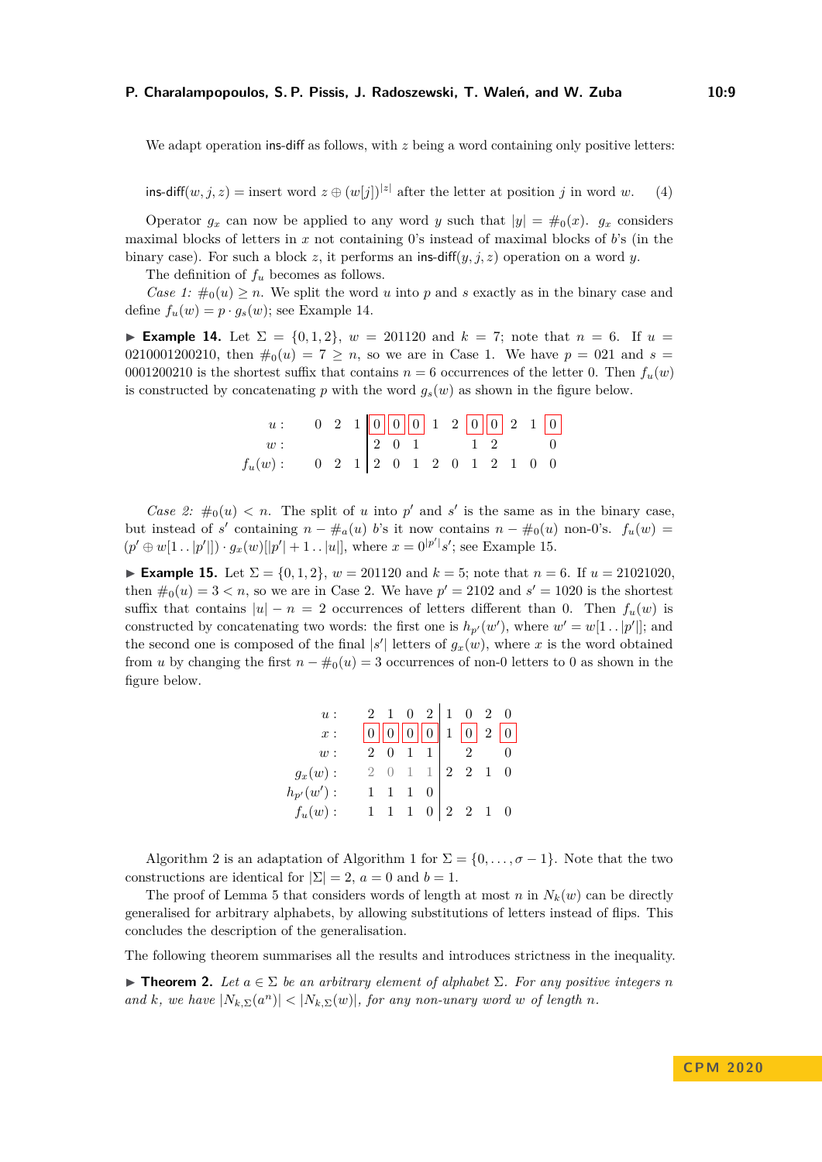#### **P. Charalampopoulos, S. P. Pissis, J. Radoszewski, T. Waleń, and W. Zuba 10:9**

We adapt operation ins-diff as follows, with *z* being a word containing only positive letters:

ins-diff $(w, j, z)$  = insert word  $z \oplus (w[j])^{|z|}$  after the letter at position *j* in word *w*. (4)

Operator  $g_x$  can now be applied to any word *y* such that  $|y| = \#_0(x)$ .  $g_x$  considers maximal blocks of letters in *x* not containing 0's instead of maximal blocks of *b*'s (in the binary case). For such a block *z*, it performs an ins-diff(*y, j, z*) operation on a word *y*.

The definition of *f<sup>u</sup>* becomes as follows.

*Case 1:*  $\#_0(u) \geq n$ . We split the word *u* into *p* and *s* exactly as in the binary case and define  $f_u(w) = p \cdot g_s(w)$ ; see Example [14.](#page-8-0)

<span id="page-8-0"></span>► **Example 14.** Let  $\Sigma = \{0, 1, 2\}$ ,  $w = 201120$  and  $k = 7$ ; note that  $n = 6$ . If  $u =$ 0210001200210, then  $\#_0(u) = 7 \ge n$ , so we are in Case 1. We have  $p = 0.21$  and  $s =$ 0001200210 is the shortest suffix that contains  $n = 6$  occurrences of the letter 0. Then  $f_u(w)$ is constructed by concatenating  $p$  with the word  $g_s(w)$  as shown in the figure below.

|           |                                                     |  |  |  |  | $0$ 2 1 0 0 0 1 2 0 0 2 1 0 |  |  |
|-----------|-----------------------------------------------------|--|--|--|--|-----------------------------|--|--|
| w:        | $\boxed{2\ \ 0\ \ 1}$ $\boxed{1\ \ 2}$              |  |  |  |  |                             |  |  |
| $f_u(w):$ | $0 \t2 \t1 \t2 \t0 \t1 \t2 \t0 \t1 \t2 \t1 \t0 \t0$ |  |  |  |  |                             |  |  |

*Case 2:*  $\#_0(u) < n$ . The split of *u* into *p*' and *s*' is the same as in the binary case, but instead of *s*' containing  $n - \#_a(u)$  *b*'s it now contains  $n - \#_0(u)$  non-0's.  $f_u(w) =$  $(p' \oplus w[1 \dots |p'|]) \cdot g_x(w)[|p'| + 1 \dots |u|],$  where  $x = 0^{|p'|} s'$ ; see Example [15.](#page-8-1)

<span id="page-8-1"></span>► **Example 15.** Let  $\Sigma = \{0, 1, 2\}$ ,  $w = 201120$  and  $k = 5$ ; note that  $n = 6$ . If  $u = 21021020$ . then  $\#_0(u) = 3 < n$ , so we are in Case 2. We have  $p' = 2102$  and  $s' = 1020$  is the shortest suffix that contains  $|u| - n = 2$  occurrences of letters different than 0. Then  $f_u(w)$  is constructed by concatenating two words: the first one is  $h_{p}(w')$ , where  $w' = w[1 \tcdot |p'|]$ ; and the second one is composed of the final  $|s'|$  letters of  $g_x(w)$ , where *x* is the word obtained from *u* by changing the first  $n - \#_0(u) = 3$  occurrences of non-0 letters to 0 as shown in the figure below.

| <i>u</i> :     |  |                 | $2 \t1 \t0 \t2 \t1 \t0 \t2 \t0$                             |  |
|----------------|--|-----------------|-------------------------------------------------------------|--|
| $x$ :          |  |                 |                                                             |  |
| w:             |  | $2 \t0 \t1 \t1$ | $2^{\circ}$                                                 |  |
| $g_x(w):$      |  |                 | $2 \t0 \t1 \t1 \t2 \t2 \t1 \t0$                             |  |
| $h_{p'}(w')$ : |  |                 |                                                             |  |
| $f_u(w):$      |  |                 | $1 \quad 1 \quad 1 \quad 0 \quad 2 \quad 2 \quad 1 \quad 0$ |  |

Algorithm [2](#page-9-0) is an adaptation of Algorithm [1](#page-6-0) for  $\Sigma = \{0, \ldots, \sigma - 1\}$ . Note that the two constructions are identical for  $|\Sigma| = 2$ ,  $a = 0$  and  $b = 1$ .

The proof of Lemma [5](#page-2-3) that considers words of length at most *n* in  $N_k(w)$  can be directly generalised for arbitrary alphabets, by allowing substitutions of letters instead of flips. This concludes the description of the generalisation.

The following theorem summarises all the results and introduces strictness in the inequality.

 $\blacktriangleright$  **Theorem 2.** *Let a* ∈  $\Sigma$  *be an arbitrary element of alphabet*  $\Sigma$ *. For any positive integers n and k,* we have  $|N_{k,\Sigma}(a^n)| < |N_{k,\Sigma}(w)|$ *, for any non-unary word w of length n.*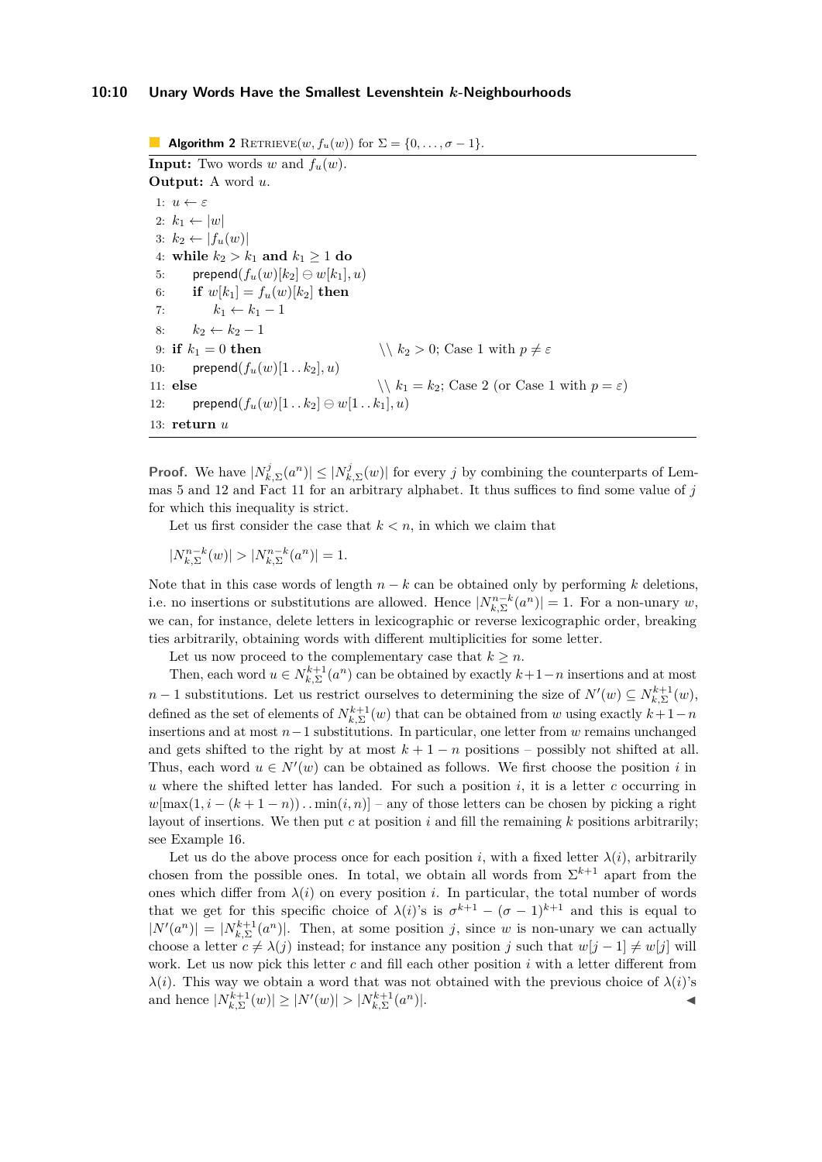#### **10:10 Unary Words Have the Smallest Levenshtein** *k***-Neighbourhoods**

<span id="page-9-0"></span>**Algorithm 2** RETRIEVE $(w, f_u(w))$  for  $\Sigma = \{0, \ldots, \sigma - 1\}.$ **Input:** Two words  $w$  and  $f_u(w)$ . **Output:** A word *u*. 1:  $u \leftarrow \varepsilon$ 2:  $k_1 \leftarrow |w|$  $3: k_2 \leftarrow |f_u(w)|$ 4: **while**  $k_2 > k_1$  **and**  $k_1 \ge 1$  **do** 5: prepend $(f_u(w)[k_2] \ominus w[k_1], u)$ 6: **if**  $w[k_1] = f_u(w)[k_2]$  then 7:  $k_1 \leftarrow k_1 - 1$ 8:  $k_2$  ←  $k_2$  − 1 9: **if**  $k_1 = 0$  **then**  $\setminus k_2 > 0$ ; Case 1 with  $p \neq \varepsilon$ 10: prepend $(f_u(w)[1 \tcdot k_2], u)$ 11: **else**  $\langle k_1 = k_2; \text{ Case 2 (or Case 1 with } p = \varepsilon \rangle$ 12: **prepend** $(f_u(w)[1 \dots k_2] \ominus w[1 \dots k_1], u)$ 13: **return** *u*

**Proof.** We have  $|N_{k,\Sigma}^j(a^n)| \leq |N_{k,\Sigma}^j(w)|$  for every *j* by combining the counterparts of Lemmas [5](#page-2-3) and [12](#page-6-1) and Fact [11](#page-6-2) for an arbitrary alphabet. It thus suffices to find some value of *j* for which this inequality is strict.

Let us first consider the case that  $k < n$ , in which we claim that

 $|N_{k,\Sigma}^{n-k}(w)| > |N_{k,\Sigma}^{n-k}(a^n)| = 1.$ 

Note that in this case words of length  $n - k$  can be obtained only by performing  $k$  deletions, i.e. no insertions or substitutions are allowed. Hence  $|N_{k,\Sigma}^{n-k}(a^n)| = 1$ . For a non-unary *w*, we can, for instance, delete letters in lexicographic or reverse lexicographic order, breaking ties arbitrarily, obtaining words with different multiplicities for some letter.

Let us now proceed to the complementary case that  $k \geq n$ .

Then, each word  $u \in N_{k,\Sigma}^{k+1}(a^n)$  can be obtained by exactly  $k+1-n$  insertions and at most *n* − 1 substitutions. Let us restrict ourselves to determining the size of  $N'(w)$  ⊆  $N_{k, \Sigma}^{k+1}(w)$ , defined as the set of elements of  $N_{k,\Sigma}^{k+1}(w)$  that can be obtained from *w* using exactly  $k+1-n$ insertions and at most *n*−1 substitutions. In particular, one letter from *w* remains unchanged and gets shifted to the right by at most  $k + 1 - n$  positions – possibly not shifted at all. Thus, each word  $u \in N'(w)$  can be obtained as follows. We first choose the position *i* in  $u$  where the shifted letter has landed. For such a position  $i$ , it is a letter  $c$  occurring in  $w[\max(1, i - (k+1-n)) \dots \min(i, n)]$  – any of those letters can be chosen by picking a right layout of insertions. We then put *c* at position *i* and fill the remaining *k* positions arbitrarily; see Example [16.](#page-9-1)

<span id="page-9-1"></span>Let us do the above process once for each position *i*, with a fixed letter  $\lambda(i)$ , arbitrarily chosen from the possible ones. In total, we obtain all words from  $\Sigma^{k+1}$  apart from the ones which differ from  $\lambda(i)$  on every position *i*. In particular, the total number of words that we get for this specific choice of  $\lambda(i)$ 's is  $\sigma^{k+1} - (\sigma - 1)^{k+1}$  and this is equal to  $|N'(a^n)| = |N_{k,\Sigma}^{k+1}(a^n)|$ . Then, at some position *j*, since *w* is non-unary we can actually choose a letter  $c \neq \lambda(j)$  instead; for instance any position *j* such that  $w[j-1] \neq w[j]$  will work. Let us now pick this letter *c* and fill each other position *i* with a letter different from *λ*(*i*). This way we obtain a word that was not obtained with the previous choice of  $\lambda(i)$ 's and hence  $|N_{k,\Sigma}^{k+1}(w)| \ge |N'(w)| > |N_{k,\Sigma}^{k+1}(a^n)|$ .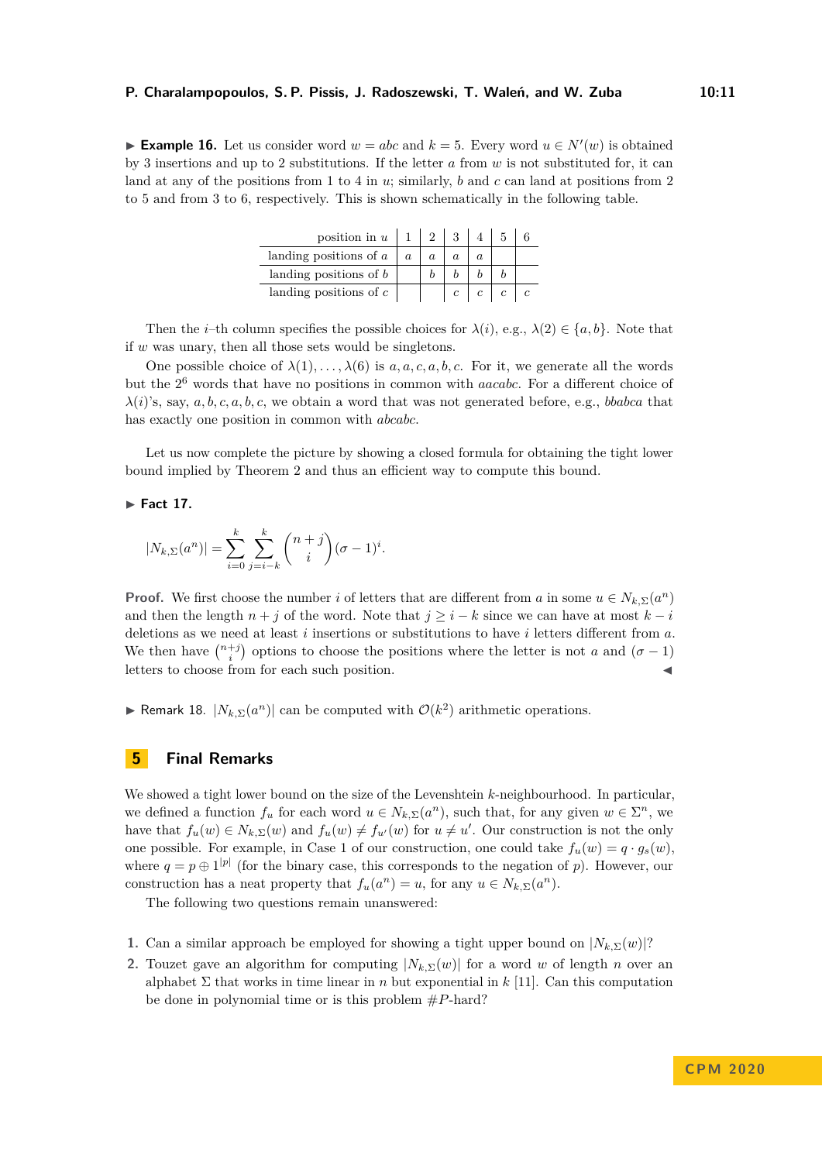► **Example 16.** Let us consider word  $w = abc$  and  $k = 5$ . Every word  $u \in N'(w)$  is obtained by 3 insertions and up to 2 substitutions. If the letter *a* from *w* is not substituted for, it can land at any of the positions from 1 to 4 in *u*; similarly, *b* and *c* can land at positions from 2 to 5 and from 3 to 6, respectively. This is shown schematically in the following table.

| position in $u \mid 1$   |  |            |  |
|--------------------------|--|------------|--|
| landing positions of $a$ |  |            |  |
| landing positions of $b$ |  |            |  |
| landing positions of $c$ |  | $\epsilon$ |  |

Then the *i*–th column specifies the possible choices for  $\lambda(i)$ , e.g.,  $\lambda(2) \in \{a, b\}$ . Note that if *w* was unary, then all those sets would be singletons.

One possible choice of  $\lambda(1), \ldots, \lambda(6)$  is  $a, a, c, a, b, c$ . For it, we generate all the words but the 2 <sup>6</sup> words that have no positions in common with *aacabc*. For a different choice of *λ*(*i*)'s, say, *a, b, c, a, b, c*, we obtain a word that was not generated before, e.g., *bbabca* that has exactly one position in common with *abcabc*.

Let us now complete the picture by showing a closed formula for obtaining the tight lower bound implied by Theorem [2](#page-1-0) and thus an efficient way to compute this bound.

**Fact 17.** 

$$
|N_{k,\Sigma}(a^n)| = \sum_{i=0}^k \sum_{j=i-k}^k {n+j \choose i} (\sigma - 1)^i.
$$

**Proof.** We first choose the number *i* of letters that are different from *a* in some  $u \in N_{k,\Sigma}(a^n)$ and then the length  $n + j$  of the word. Note that  $j \geq i - k$  since we can have at most  $k - i$ deletions as we need at least *i* insertions or substitutions to have *i* letters different from *a*. We then have  $\binom{n+j}{i}$  options to choose the positions where the letter is not *a* and  $(\sigma - 1)$ letters to choose from for each such position.

► Remark 18.  $|N_{k, \Sigma}(a^n)|$  can be computed with  $\mathcal{O}(k^2)$  arithmetic operations.

## <span id="page-10-0"></span>**5 Final Remarks**

We showed a tight lower bound on the size of the Levenshtein *k*-neighbourhood. In particular, we defined a function  $f_u$  for each word  $u \in N_{k,\Sigma}(a^n)$ , such that, for any given  $w \in \Sigma^n$ , we have that  $f_u(w) \in N_{k,\Sigma}(w)$  and  $f_u(w) \neq f_{u'}(w)$  for  $u \neq u'$ . Our construction is not the only one possible. For example, in Case 1 of our construction, one could take  $f_u(w) = q \cdot g_s(w)$ , where  $q = p \oplus 1^{p}$  (for the binary case, this corresponds to the negation of *p*). However, our construction has a neat property that  $f_u(a^n) = u$ , for any  $u \in N_{k,\Sigma}(a^n)$ .

The following two questions remain unanswered:

- **1.** Can a similar approach be employed for showing a tight upper bound on  $|N_k \nabla (w)|$ ?
- **2.** Touzet gave an algorithm for computing  $|N_k \nabla w|$  for a word *w* of length *n* over an alphabet  $\Sigma$  that works in time linear in *n* but exponential in *k* [\[11\]](#page-11-4). Can this computation be done in polynomial time or is this problem #*P*-hard?